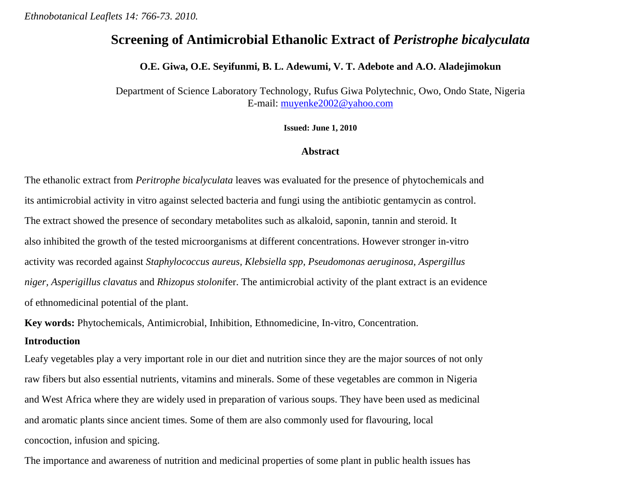# **Screening of Antimicrobial Ethanolic Extract of** *Peristrophe bicalyculata*

#### **O.E. Giwa, O.E. Seyifunmi, B. L. Adewumi, V. T. Adebote and A.O. Aladejimokun**

Department of Science Laboratory Technology, Rufus Giwa Polytechnic, Owo, Ondo State, Nigeria E-mail: [muyenke2002@yahoo.com](mailto:muyenke2002@yahoo.com)

**Issued: June 1, 2010**

## **Abstract**

The ethanolic extract from *Peritrophe bicalyculata* leaves was evaluated for the presence of phytochemicals and its antimicrobial activity in vitro against selected bacteria and fungi using the antibiotic gentamycin as control. The extract showed the presence of secondary metabolites such as alkaloid, saponin, tannin and steroid. It also inhibited the growth of the tested microorganisms at different concentrations. However stronger in-vitro activity was recorded against *Staphylococcus aureus, Klebsiella spp, Pseudomonas aeruginosa, Aspergillus niger, Asperigillus clavatus* and *Rhizopus stoloni*fer. The antimicrobial activity of the plant extract is an evidence of ethnomedicinal potential of the plant.

**Key words:** Phytochemicals, Antimicrobial, Inhibition, Ethnomedicine, In-vitro, Concentration. **Introduction** 

Leafy vegetables play a very important role in our diet and nutrition since they are the major sources of not only raw fibers but also essential nutrients, vitamins and minerals. Some of these vegetables are common in Nigeria and West Africa where they are widely used in preparation of various soups. They have been used as medicinal and aromatic plants since ancient times. Some of them are also commonly used for flavouring, local concoction, infusion and spicing.

The importance and awareness of nutrition and medicinal properties of some plant in public health issues has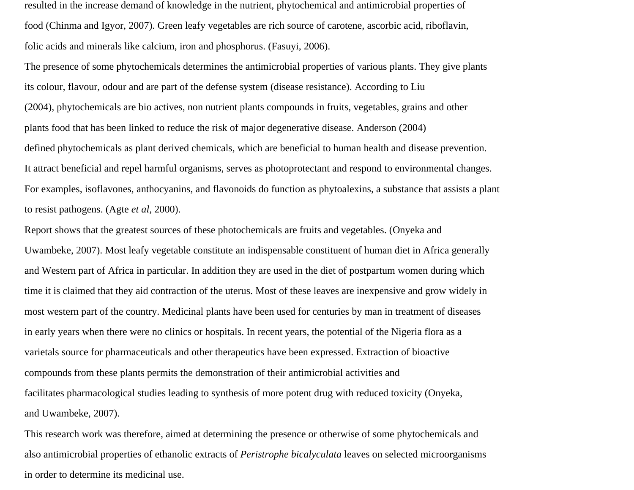resulted in the increase demand of knowledge in the nutrient, phytochemical and antimicrobial properties of food (Chinma and Igyor, 2007). Green leafy vegetables are rich source of carotene, ascorbic acid, riboflavin, folic acids and minerals like calcium, iron and phosphorus. (Fasuyi, 2006).

The presence of some phytochemicals determines the antimicrobial properties of various plants. They give plants its colour, flavour, odour and are part of the defense system (disease resistance). According to Liu (2004), phytochemicals are bio actives, non nutrient plants compounds in fruits, vegetables, grains and other plants food that has been linked to reduce the risk of major degenerative disease. Anderson (2004) defined phytochemicals as plant derived chemicals, which are beneficial to human health and disease prevention. It attract beneficial and repel harmful organisms, serves as photoprotectant and respond to environmental changes. For examples, isoflavones, anthocyanins, and flavonoids do function as phytoalexins, a substance that assists a plant to resist pathogens. (Agte *et al,* 2000).

Report shows that the greatest sources of these photochemicals are fruits and vegetables. (Onyeka and Uwambeke, 2007). Most leafy vegetable constitute an indispensable constituent of human diet in Africa generally and Western part of Africa in particular. In addition they are used in the diet of postpartum women during which time it is claimed that they aid contraction of the uterus. Most of these leaves are inexpensive and grow widely in most western part of the country. Medicinal plants have been used for centuries by man in treatment of diseases in early years when there were no clinics or hospitals. In recent years, the potential of the Nigeria flora as a varietals source for pharmaceuticals and other therapeutics have been expressed. Extraction of bioactive compounds from these plants permits the demonstration of their antimicrobial activities and facilitates pharmacological studies leading to synthesis of more potent drug with reduced toxicity (Onyeka, and Uwambeke, 2007).

This research work was therefore, aimed at determining the presence or otherwise of some phytochemicals and also antimicrobial properties of ethanolic extracts of *Peristrophe bicalyculata* leaves on selected microorganisms in order to determine its medicinal use.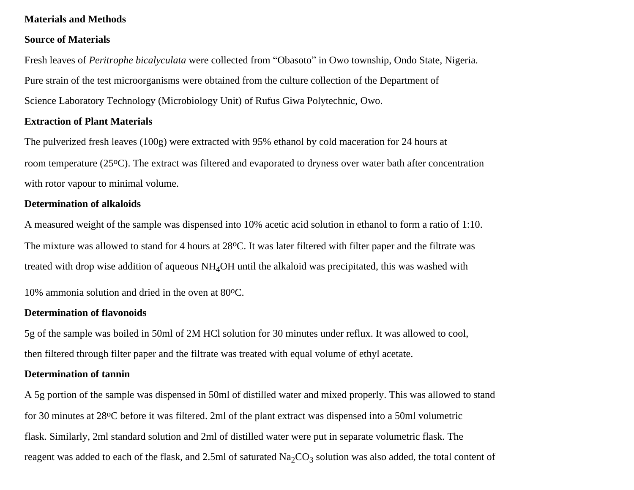## **Materials and Methods**

#### **Source of Materials**

Fresh leaves of *Peritrophe bicalyculata* were collected from "Obasoto" in Owo township, Ondo State, Nigeria. Pure strain of the test microorganisms were obtained from the culture collection of the Department of Science Laboratory Technology (Microbiology Unit) of Rufus Giwa Polytechnic, Owo.

## **Extraction of Plant Materials**

The pulverized fresh leaves (100g) were extracted with 95% ethanol by cold maceration for 24 hours at room temperature (25oC). The extract was filtered and evaporated to dryness over water bath after concentration with rotor vapour to minimal volume.

## **Determination of alkaloids**

A measured weight of the sample was dispensed into 10% acetic acid solution in ethanol to form a ratio of 1:10. The mixture was allowed to stand for 4 hours at 28 °C. It was later filtered with filter paper and the filtrate was treated with drop wise addition of aqueous  $NH<sub>4</sub>OH$  until the alkaloid was precipitated, this was washed with

10% ammonia solution and dried in the oven at 80 °C.

#### **Determination of flavonoids**

5g of the sample was boiled in 50ml of 2M HCl solution for 30 minutes under reflux. It was allowed to cool, then filtered through filter paper and the filtrate was treated with equal volume of ethyl acetate.

## **Determination of tannin**

A 5g portion of the sample was dispensed in 50ml of distilled water and mixed properly. This was allowed to stand for 30 minutes at 28oC before it was filtered. 2ml of the plant extract was dispensed into a 50ml volumetric flask. Similarly, 2ml standard solution and 2ml of distilled water were put in separate volumetric flask. The reagent was added to each of the flask, and 2.5ml of saturated  $Na_2CO_3$  solution was also added, the total content of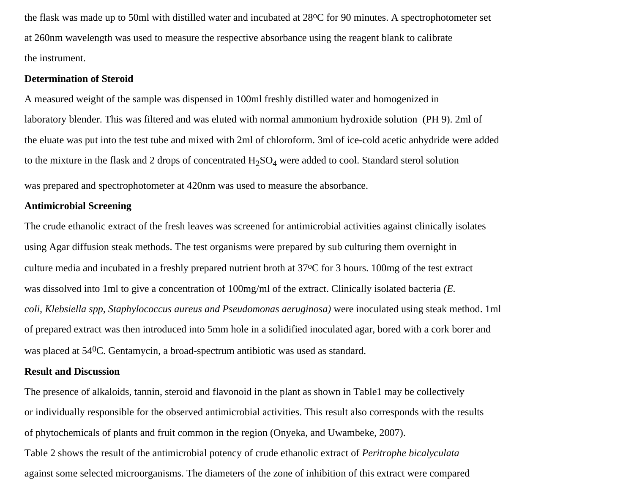the flask was made up to 50ml with distilled water and incubated at 28oC for 90 minutes. A spectrophotometer set at 260nm wavelength was used to measure the respective absorbance using the reagent blank to calibrate the instrument.

## **Determination of Steroid**

A measured weight of the sample was dispensed in 100ml freshly distilled water and homogenized in laboratory blender. This was filtered and was eluted with normal ammonium hydroxide solution (PH 9). 2ml of the eluate was put into the test tube and mixed with 2ml of chloroform. 3ml of ice-cold acetic anhydride were added to the mixture in the flask and 2 drops of concentrated  $H_2SO_4$  were added to cool. Standard sterol solution

was prepared and spectrophotometer at 420nm was used to measure the absorbance.

## **Antimicrobial Screening**

The crude ethanolic extract of the fresh leaves was screened for antimicrobial activities against clinically isolates using Agar diffusion steak methods. The test organisms were prepared by sub culturing them overnight in culture media and incubated in a freshly prepared nutrient broth at 37oC for 3 hours. 100mg of the test extract was dissolved into 1ml to give a concentration of 100mg/ml of the extract. Clinically isolated bacteria *(E. coli, Klebsiella spp, Staphylococcus aureus and Pseudomonas aeruginosa)* were inoculated using steak method. 1ml of prepared extract was then introduced into 5mm hole in a solidified inoculated agar, bored with a cork borer and was placed at 540C. Gentamycin, a broad-spectrum antibiotic was used as standard.

## **Result and Discussion**

The presence of alkaloids, tannin, steroid and flavonoid in the plant as shown in Table1 may be collectively or individually responsible for the observed antimicrobial activities. This result also corresponds with the results of phytochemicals of plants and fruit common in the region (Onyeka, and Uwambeke, 2007).

Table 2 shows the result of the antimicrobial potency of crude ethanolic extract of *Peritrophe bicalyculata*  against some selected microorganisms. The diameters of the zone of inhibition of this extract were compared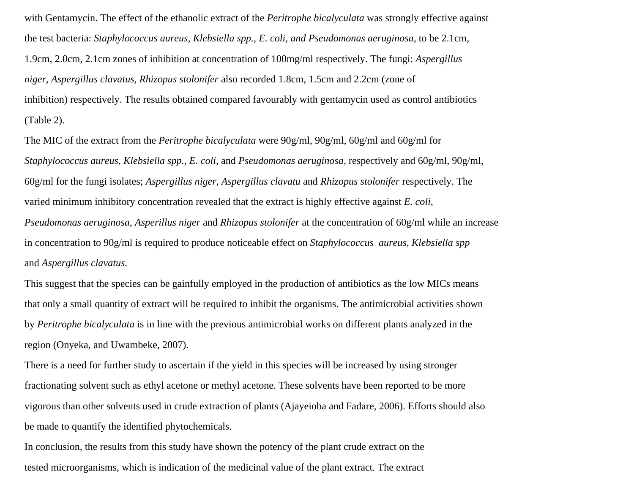with Gentamycin. The effect of the ethanolic extract of the *Peritrophe bicalyculata* was strongly effective against the test bacteria: *Staphylococcus aureus, Klebsiella spp., E. coli, and Pseudomonas aeruginosa,* to be 2.1cm, 1.9cm, 2.0cm, 2.1cm zones of inhibition at concentration of 100mg/ml respectively. The fungi: *Aspergillus niger, Aspergillus clavatus, Rhizopus stolonifer* also recorded 1.8cm, 1.5cm and 2.2cm (zone of inhibition) respectively. The results obtained compared favourably with gentamycin used as control antibiotics (Table 2).

The MIC of the extract from the *Peritrophe bicalyculata* were 90g/ml, 90g/ml, 60g/ml and 60g/ml for *Staphylococcus aureus, Klebsiella spp., E. coli,* and *Pseudomonas aeruginosa,* respectively and 60g/ml, 90g/ml, 60g/ml for the fungi isolates; *Aspergillus niger, Aspergillus clavatu* and *Rhizopus stolonifer* respectively. The varied minimum inhibitory concentration revealed that the extract is highly effective against *E. coli, Pseudomonas aeruginosa*, *Asperillus niger* and *Rhizopus stolonifer* at the concentration of 60g/ml while an increase in concentration to 90g/ml is required to produce noticeable effect on *Staphylococcus aureus, Klebsiella spp*  and *Aspergillus clavatus.* 

This suggest that the species can be gainfully employed in the production of antibiotics as the low MICs means that only a small quantity of extract will be required to inhibit the organisms. The antimicrobial activities shown by *Peritrophe bicalyculata* is in line with the previous antimicrobial works on different plants analyzed in the region (Onyeka, and Uwambeke, 2007).

There is a need for further study to ascertain if the yield in this species will be increased by using stronger fractionating solvent such as ethyl acetone or methyl acetone. These solvents have been reported to be more vigorous than other solvents used in crude extraction of plants (Ajayeioba and Fadare, 2006). Efforts should also be made to quantify the identified phytochemicals.

In conclusion, the results from this study have shown the potency of the plant crude extract on the tested microorganisms, which is indication of the medicinal value of the plant extract. The extract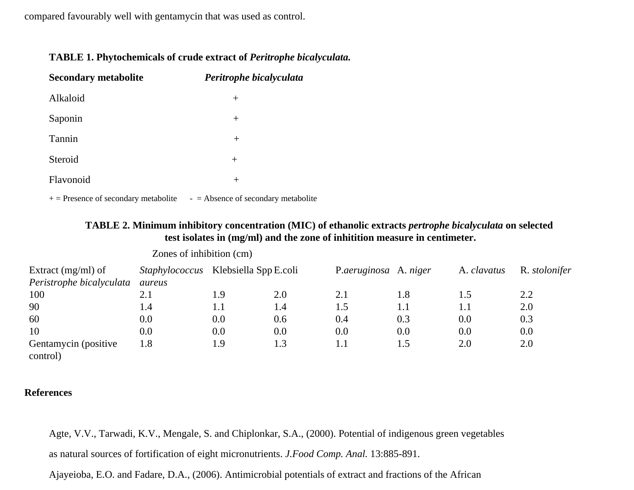compared favourably well with gentamycin that was used as control.

| TABLE 1. Phytochemicals of crude extract of Peritrophe bicalyculata. |  |  |
|----------------------------------------------------------------------|--|--|
|                                                                      |  |  |

| <b>Secondary metabolite</b> | Peritrophe bicalyculata |
|-----------------------------|-------------------------|
| Alkaloid                    | $^{+}$                  |
| Saponin                     | $^{+}$                  |
| Tannin                      | $^{+}$                  |
| Steroid                     | $^{+}$                  |
| Flavonoid                   | $^{+}$                  |
|                             |                         |

 $+=$  Presence of secondary metabolite  $-$  = Absence of secondary metabolite

## **TABLE 2. Minimum inhibitory concentration (MIC) of ethanolic extracts** *pertrophe bicalyculata* **on selected test isolates in (mg/ml) and the zone of inhitition measure in centimeter.**

| Extract $(mg/ml)$ of<br>Peristrophe bicalyculata | <i>Staphylococcus</i> Klebsiella Spp E.coli<br>aureus |         |     | P.aeruginosa A. niger |     | A. clavatus | R. <i>stolonifer</i> |
|--------------------------------------------------|-------------------------------------------------------|---------|-----|-----------------------|-----|-------------|----------------------|
| 100                                              | 2.1                                                   | 1.9     | 2.0 | 2.1                   | 1.8 |             | 2.2                  |
| 90                                               | 1.4                                                   | $1.1\,$ | 1.4 | 1.5                   | 1.1 | 1.1         | 2.0                  |
| 60                                               | 0.0                                                   | $0.0\,$ | 0.6 | 0.4                   | 0.3 | 0.0         | 0.3                  |
| 10                                               | 0.0                                                   | $0.0\,$ | 0.0 | 0.0                   | 0.0 | 0.0         | 0.0                  |
| Gentamycin (positive<br>control)                 | $1.8\,$                                               | 1.9     | 1.3 | 1.1                   | 1.5 | 2.0         | 2.0                  |

Zones of inhibition (cm)

## **References**

Agte, V.V., Tarwadi, K.V., Mengale, S. and Chiplonkar, S.A., (2000). Potential of indigenous green vegetables as natural sources of fortification of eight micronutrients. *J.Food Comp. Anal.* 13:885-891.

Ajayeioba, E.O. and Fadare, D.A., (2006). Antimicrobial potentials of extract and fractions of the African